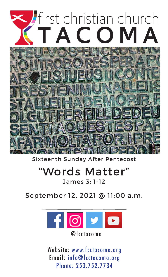

Sixteenth Sunday After Pentecost

## "Words Matter"

James 3: 1-12

September 12, 2021 @ 11:00 a.m.



Website: www.fcctacoma.org Email: info@fcctacoma.org Phone: 253.752.7734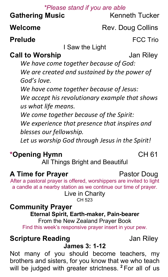### *\*Please stand if you are able*

**Gathering Music** Kenneth Tucker

**Welcome** Rev. Doug Collins

**Prelude FCC Trio** 

I Saw the Light

**Call to Worship**  Jan Riley

*We have come together because of God: We are created and sustained by the power of God's love.*

*We have come together because of Jesus: We accept his revolutionary example that shows us what life means.*

*We come together because of the Spirit:*

*We experience that presence that inspires and blesses our fellowship.*

*Let us worship God through Jesus in the Spirit!*

### **\*Opening Hymn** CH 61

All Things Bright and Beautiful

### **A Time for Prayer** Pastor Doug

After a pastoral prayer is offered, worshippers are invited to light a candle at a nearby station as we continue our time of prayer.

> Live in Charity CH 523

# **Community Prayer Eternal Spirit, Earth-maker, Pain-bearer**

From the New Zealand Prayer Book Find this week's responsive prayer insert in your pew.

## **Scripture Reading Jan Riley**

### **James 3: 1-12**

Not many of you should become teachers, my brothers and sisters, for you know that we who teach will be judged with greater strictness. **<sup>2</sup>** For all of us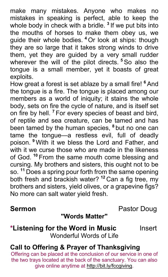make many mistakes. Anyone who makes no mistakes in speaking is perfect, able to keep the whole body in check with a bridle. **<sup>3</sup>** If we put bits into the mouths of horses to make them obey us, we guide their whole bodies. **<sup>4</sup>** Or look at ships: though they are so large that it takes strong winds to drive them, yet they are guided by a very small rudder wherever the will of the pilot directs. **<sup>5</sup>** So also the tongue is a small member, yet it boasts of great exploits.

How great a forest is set ablaze by a small fire! **<sup>6</sup>** And the tongue is a fire. The tongue is placed among our members as a world of iniquity; it stains the whole body, sets on fire the cycle of nature, and is itself set on fire by hell. **<sup>7</sup>** For every species of beast and bird, of reptile and sea creature, can be tamed and has been tamed by the human species, **<sup>8</sup>** but no one can tame the tongue—a restless evil, full of deadly poison. **<sup>9</sup>** With it we bless the Lord and Father, and with it we curse those who are made in the likeness of God. **<sup>10</sup>** From the same mouth come blessing and cursing. My brothers and sisters, this ought not to be so. **<sup>11</sup>** Does a spring pour forth from the same opening both fresh and brackish water? **<sup>12</sup>** Can a fig tree, my brothers and sisters, yield olives, or a grapevine figs? No more can salt water yield fresh.

**Sermon Pastor Doug** 

### **"Words Matter"**

### **\*Listening for the Word in Music** Insert Wonderful Words of Life

### **Call to Offering & Prayer of Thanksgiving**

Offering can be placed at the conclusion of our service in one of the two trays located at the back of the sanctuary. You can also give online anytime at http://bit.ly/fccgiving.